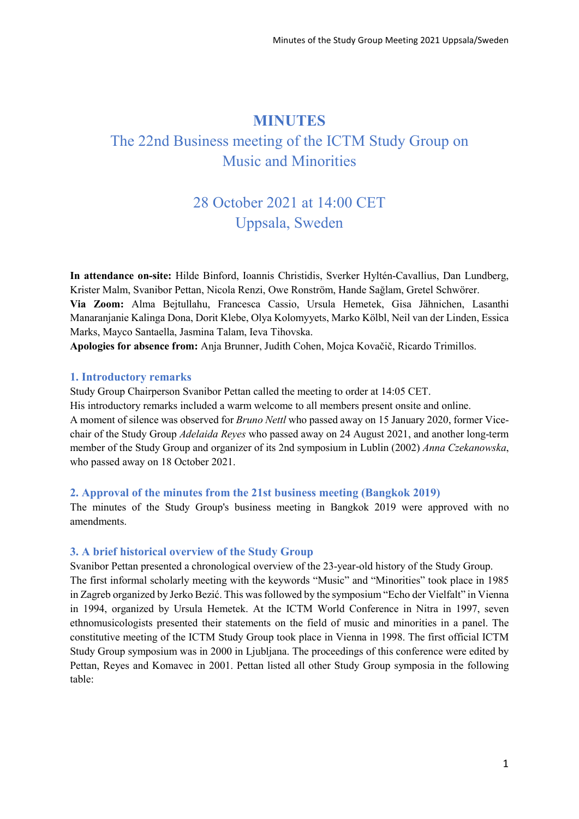## **MINUTES**

# The 22nd Business meeting of the ICTM Study Group on Music and Minorities

# 28 October 2021 at 14:00 CET Uppsala, Sweden

**In attendance on-site:** Hilde Binford, Ioannis Christidis, Sverker Hyltén-Cavallius, Dan Lundberg, Krister Malm, Svanibor Pettan, Nicola Renzi, Owe Ronström, Hande Sağlam, Gretel Schwörer. **Via Zoom:** Alma Bejtullahu, Francesca Cassio, Ursula Hemetek, Gisa Jähnichen, Lasanthi Manaranjanie Kalinga Dona, Dorit Klebe, Olya Kolomyyets, Marko Kölbl, Neil van der Linden, Essica Marks, Mayco Santaella, Jasmina Talam, Ieva Tihovska.

**Apologies for absence from:** Anja Brunner, Judith Cohen, Mojca Kovačič, Ricardo Trimillos.

## **1. Introductory remarks**

Study Group Chairperson Svanibor Pettan called the meeting to order at 14:05 CET.

His introductory remarks included a warm welcome to all members present onsite and online. A moment of silence was observed for *Bruno Nettl* who passed away on 15 January 2020, former Vicechair of the Study Group *Adelaida Reyes* who passed away on 24 August 2021, and another long-term member of the Study Group and organizer of its 2nd symposium in Lublin (2002) *Anna Czekanowska*, who passed away on 18 October 2021.

## **2. Approval of the minutes from the 21st business meeting (Bangkok 2019)**

The minutes of the Study Group's business meeting in Bangkok 2019 were approved with no amendments.

## **3. A brief historical overview of the Study Group**

Svanibor Pettan presented a chronological overview of the 23-year-old history of the Study Group. The first informal scholarly meeting with the keywords "Music" and "Minorities" took place in 1985 in Zagreb organized by Jerko Bezić. This was followed by the symposium "Echo der Vielfalt" in Vienna in 1994, organized by Ursula Hemetek. At the ICTM World Conference in Nitra in 1997, seven ethnomusicologists presented their statements on the field of music and minorities in a panel. The constitutive meeting of the ICTM Study Group took place in Vienna in 1998. The first official ICTM Study Group symposium was in 2000 in Ljubljana. The proceedings of this conference were edited by Pettan, Reyes and Komavec in 2001. Pettan listed all other Study Group symposia in the following table: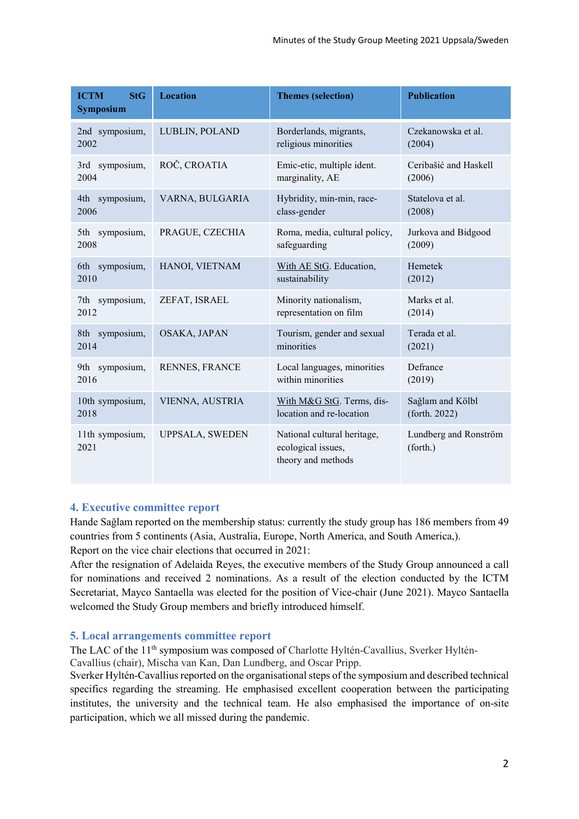| <b>ICTM</b><br><b>StG</b><br><b>Symposium</b> | <b>Location</b>        | <b>Themes (selection)</b>                                               | <b>Publication</b>                |
|-----------------------------------------------|------------------------|-------------------------------------------------------------------------|-----------------------------------|
| 2nd symposium,                                | LUBLIN, POLAND         | Borderlands, migrants,                                                  | Czekanowska et al.                |
| 2002                                          |                        | religious minorities                                                    | (2004)                            |
| 3rd symposium,                                | ROČ, CROATIA           | Emic-etic, multiple ident.                                              | Ceribašić and Haskell             |
| 2004                                          |                        | marginality, AE                                                         | (2006)                            |
| 4th symposium,                                | VARNA, BULGARIA        | Hybridity, min-min, race-                                               | Statelova et al.                  |
| 2006                                          |                        | class-gender                                                            | (2008)                            |
| 5th symposium,                                | PRAGUE, CZECHIA        | Roma, media, cultural policy,                                           | Jurkova and Bidgood               |
| 2008                                          |                        | safeguarding                                                            | (2009)                            |
| 6th symposium,                                | HANOI, VIETNAM         | With AE StG. Education,                                                 | Hemetek                           |
| 2010                                          |                        | sustainability                                                          | (2012)                            |
| 7th symposium,                                | ZEFAT, ISRAEL          | Minority nationalism,                                                   | Marks et al.                      |
| 2012                                          |                        | representation on film                                                  | (2014)                            |
| 8th symposium,                                | OSAKA, JAPAN           | Tourism, gender and sexual                                              | Terada et al.                     |
| 2014                                          |                        | minorities                                                              | (2021)                            |
| symposium,<br>9th -<br>2016                   | RENNES, FRANCE         | Local languages, minorities<br>within minorities                        | Defrance<br>(2019)                |
| 10th symposium,                               | VIENNA, AUSTRIA        | With M&G StG. Terms, dis-                                               | Sağlam and Kölbl                  |
| 2018                                          |                        | location and re-location                                                | (forth. 2022)                     |
| 11th symposium,<br>2021                       | <b>UPPSALA, SWEDEN</b> | National cultural heritage,<br>ecological issues,<br>theory and methods | Lundberg and Ronström<br>(forth.) |

#### **4. Executive committee report**

Hande Sağlam reported on the membership status: currently the study group has 186 members from 49 countries from 5 continents (Asia, Australia, Europe, North America, and South America,).

Report on the vice chair elections that occurred in 2021:

After the resignation of Adelaida Reyes, the executive members of the Study Group announced a call for nominations and received 2 nominations. As a result of the election conducted by the ICTM Secretariat, Mayco Santaella was elected for the position of Vice-chair (June 2021). Mayco Santaella welcomed the Study Group members and briefly introduced himself.

## **5. Local arrangements committee report**

The LAC of the 11<sup>th</sup> symposium was composed of Charlotte Hyltén-Cavallius, Sverker Hyltén-Cavallius (chair), Mischa van Kan, Dan Lundberg, and Oscar Pripp.

Sverker Hyltén-Cavallius reported on the organisational steps of the symposium and described technical specifics regarding the streaming. He emphasised excellent cooperation between the participating institutes, the university and the technical team. He also emphasised the importance of on-site participation, which we all missed during the pandemic.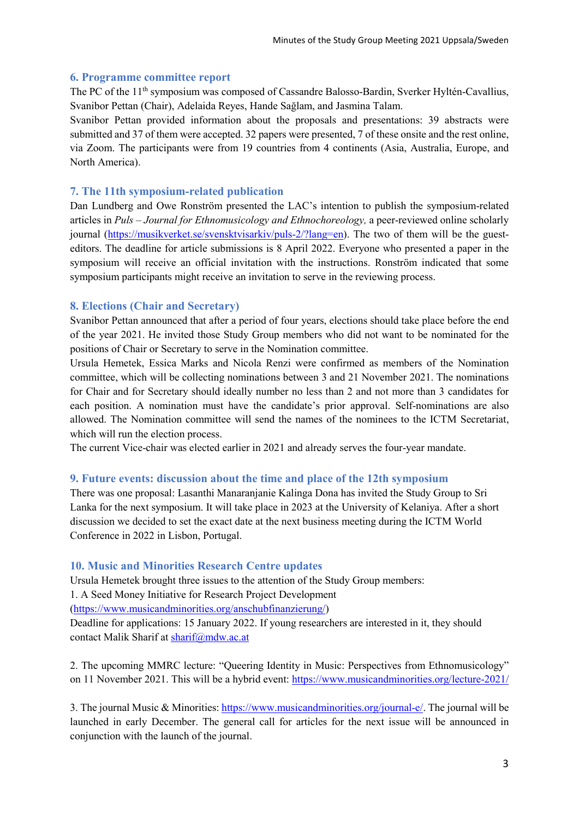## **6. Programme committee report**

The PC of the 11<sup>th</sup> symposium was composed of Cassandre Balosso-Bardin, Sverker Hyltén-Cavallius, Svanibor Pettan (Chair), Adelaida Reyes, Hande Sağlam, and Jasmina Talam.

Svanibor Pettan provided information about the proposals and presentations: 39 abstracts were submitted and 37 of them were accepted. 32 papers were presented, 7 of these onsite and the rest online, via Zoom. The participants were from 19 countries from 4 continents (Asia, Australia, Europe, and North America).

## **7. The 11th symposium-related publication**

Dan Lundberg and Owe Ronström presented the LAC's intention to publish the symposium-related articles in *Puls – Journal for Ethnomusicology and Ethnochoreology,* a peer-reviewed online scholarly journal [\(https://musikverket.se/svensktvisarkiv/puls-2/?lang=en\)](https://musikverket.se/svensktvisarkiv/puls-2/?lang=en). The two of them will be the guesteditors. The deadline for article submissions is 8 April 2022. Everyone who presented a paper in the symposium will receive an official invitation with the instructions. Ronström indicated that some symposium participants might receive an invitation to serve in the reviewing process.

## **8. Elections (Chair and Secretary)**

Svanibor Pettan announced that after a period of four years, elections should take place before the end of the year 2021. He invited those Study Group members who did not want to be nominated for the positions of Chair or Secretary to serve in the Nomination committee.

Ursula Hemetek, Essica Marks and Nicola Renzi were confirmed as members of the Nomination committee, which will be collecting nominations between 3 and 21 November 2021. The nominations for Chair and for Secretary should ideally number no less than 2 and not more than 3 candidates for each position. A nomination must have the candidate's prior approval. Self-nominations are also allowed. The Nomination committee will send the names of the nominees to the ICTM Secretariat, which will run the election process.

The current Vice-chair was elected earlier in 2021 and already serves the four-year mandate.

#### **9. Future events: discussion about the time and place of the 12th symposium**

There was one proposal: Lasanthi Manaranjanie Kalinga Dona has invited the Study Group to Sri Lanka for the next symposium. It will take place in 2023 at the University of Kelaniya. After a short discussion we decided to set the exact date at the next business meeting during the ICTM World Conference in 2022 in Lisbon, Portugal.

#### **10. Music and Minorities Research Centre updates**

Ursula Hemetek brought three issues to the attention of the Study Group members:

1. A Seed Money Initiative for Research Project Development

[\(https://www.musicandminorities.org/anschubfinanzierung/\)](https://www.musicandminorities.org/anschubfinanzierung/)

Deadline for applications: 15 January 2022. If young researchers are interested in it, they should contact Malik Sharif at [sharif@mdw.ac.at](mailto:sharif@mdw.ac.at)

2. The upcoming MMRC lecture: "Queering Identity in Music: Perspectives from Ethnomusicology" on 11 November 2021. This will be a hybrid event:<https://www.musicandminorities.org/lecture-2021/>

3. The journal Music & Minorities: [https://www.musicandminorities.org/journal-e/.](https://www.musicandminorities.org/journal-e/) The journal will be launched in early December. The general call for articles for the next issue will be announced in conjunction with the launch of the journal.